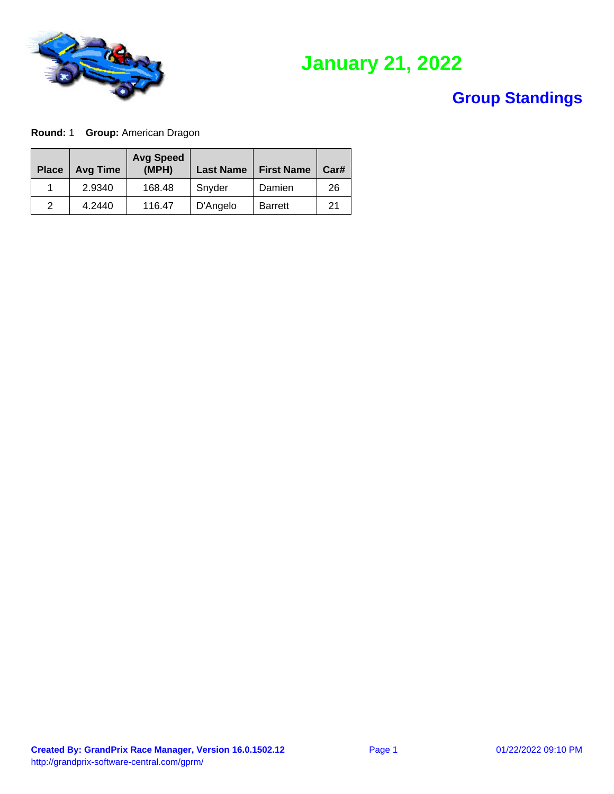

# **January 21, 2022**

#### **Group Standings**

**Round:** 1 **Group:** American Dragon

| <b>Place</b> | <b>Avg Time</b> | <b>Avg Speed</b><br>(MPH) | <b>Last Name</b> | <b>First Name</b> | Car# |
|--------------|-----------------|---------------------------|------------------|-------------------|------|
|              | 2.9340          | 168.48                    | Snyder           | Damien            | 26   |
| 2            | 4.2440          | 116.47                    | D'Angelo         | <b>Barrett</b>    | 21   |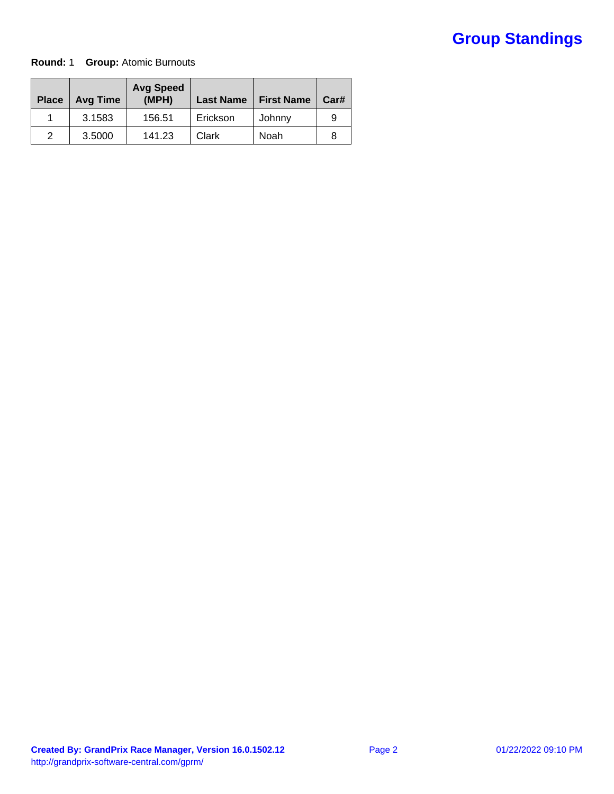#### **Round:** 1 **Group:** Atomic Burnouts

| <b>Place</b> | <b>Avg Time</b> | <b>Avg Speed</b><br>(MPH) | <b>Last Name</b> | <b>First Name</b> | Car# |
|--------------|-----------------|---------------------------|------------------|-------------------|------|
|              | 3.1583          | 156.51                    | Erickson         | Johnny            |      |
| 2            | 3.5000          | 141.23                    | Clark            | Noah              |      |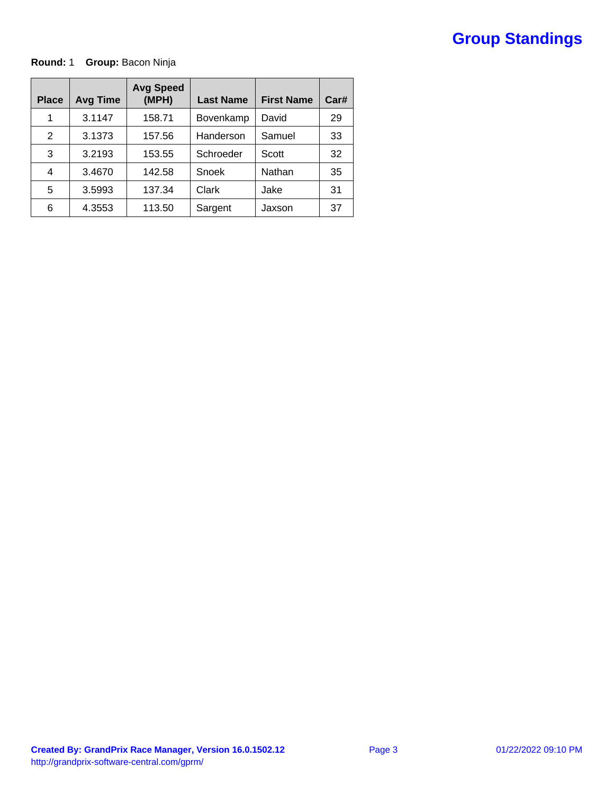#### **Round:** 1 **Group:** Bacon Ninja

| <b>Place</b> | <b>Avg Time</b> | <b>Avg Speed</b><br>(MPH) | <b>Last Name</b> | <b>First Name</b> | Car# |
|--------------|-----------------|---------------------------|------------------|-------------------|------|
| 1            | 3.1147          | 158.71                    | <b>Bovenkamp</b> | David             | 29   |
| 2            | 3.1373          | 157.56                    | Handerson        | Samuel            | 33   |
| 3            | 3.2193          | 153.55                    | Schroeder        | Scott             | 32   |
| 4            | 3.4670          | 142.58                    | Snoek            | Nathan            | 35   |
| 5            | 3.5993          | 137.34                    | Clark            | Jake              | 31   |
| 6            | 4.3553          | 113.50                    | Sargent          | Jaxson            | 37   |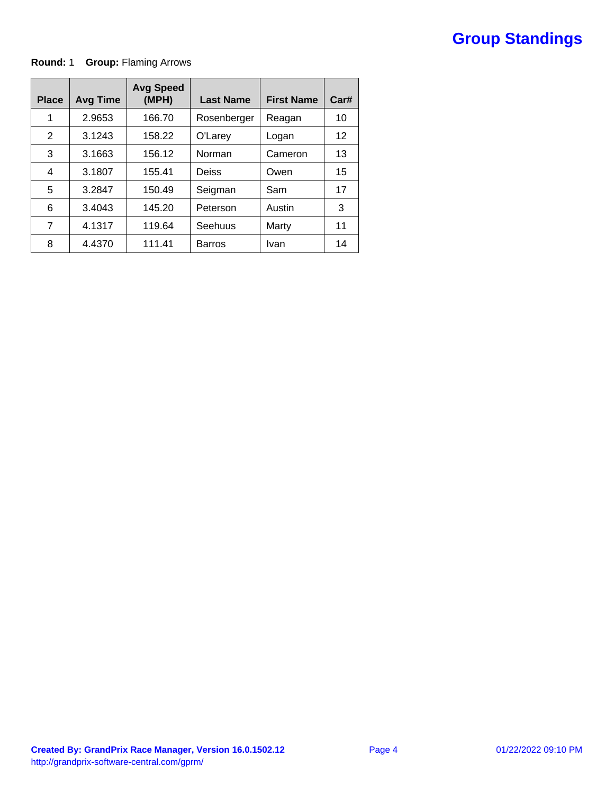#### **Round:** 1 **Group:** Flaming Arrows

| <b>Place</b> | <b>Avg Time</b> | <b>Avg Speed</b><br>(MPH) | <b>Last Name</b> | <b>First Name</b> | Car# |
|--------------|-----------------|---------------------------|------------------|-------------------|------|
| 1            | 2.9653          | 166.70                    | Rosenberger      | Reagan            | 10   |
| 2            | 3.1243          | 158.22                    | O'Larey          | Logan             | 12   |
| 3            | 3.1663          | 156.12                    | Norman           | Cameron           | 13   |
| 4            | 3.1807          | 155.41                    | Deiss            | Owen              | 15   |
| 5            | 3.2847          | 150.49                    | Seigman          | Sam               | 17   |
| 6            | 3.4043          | 145.20                    | Peterson         | Austin            | 3    |
| 7            | 4.1317          | 119.64                    | Seehuus          | Marty             | 11   |
| 8            | 4.4370          | 111.41                    | <b>Barros</b>    | Ivan              | 14   |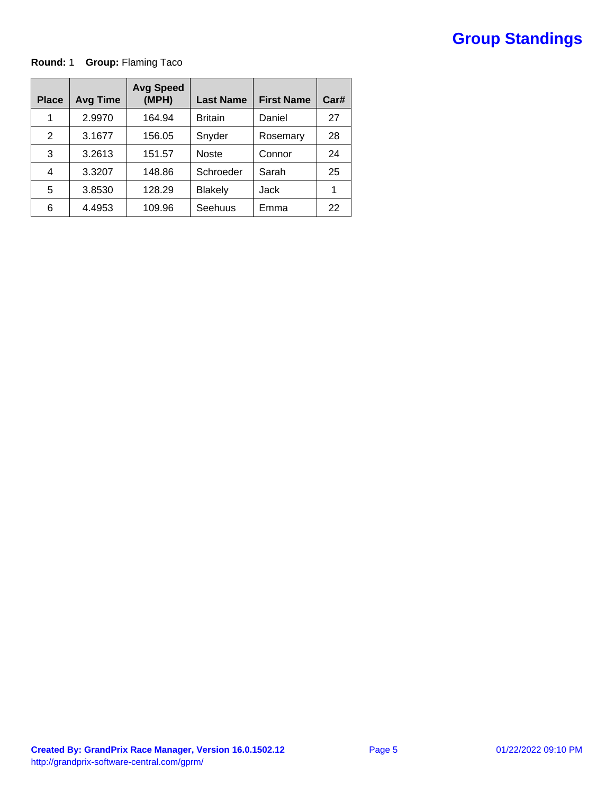**Round:** 1 **Group:** Flaming Taco

| <b>Place</b> | <b>Avg Time</b> | <b>Avg Speed</b><br>(MPH) | <b>Last Name</b> | <b>First Name</b> | Car# |
|--------------|-----------------|---------------------------|------------------|-------------------|------|
| 1            | 2.9970          | 164.94                    | <b>Britain</b>   | Daniel            | 27   |
| 2            | 3.1677          | 156.05                    | Snyder           | Rosemary          | 28   |
| 3            | 3.2613          | 151.57                    | <b>Noste</b>     | Connor            | 24   |
| 4            | 3.3207          | 148.86                    | Schroeder        | Sarah             | 25   |
| 5            | 3.8530          | 128.29                    | <b>Blakely</b>   | Jack              |      |
| 6            | 4.4953          | 109.96                    | Seehuus          | Emma              | 22   |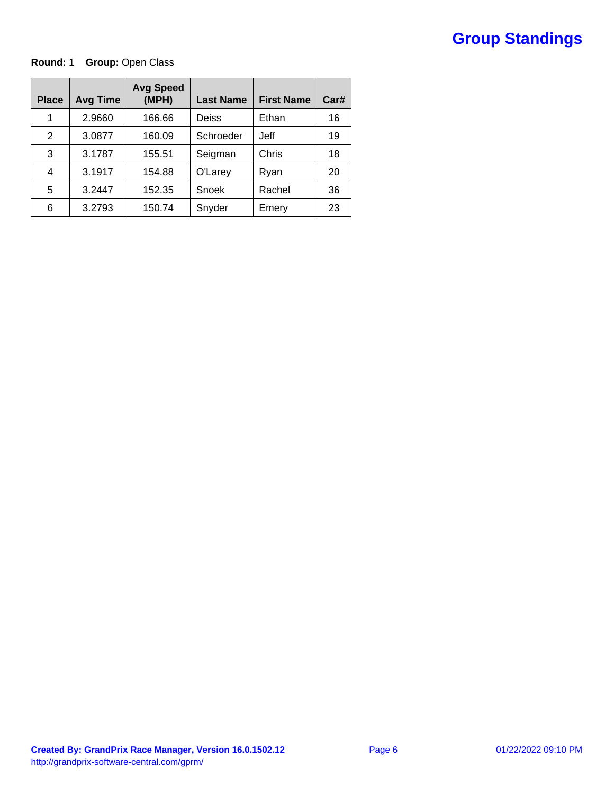#### **Round: 1 Group: Open Class**

| <b>Place</b> | <b>Avg Time</b> | <b>Avg Speed</b><br>(MPH) | <b>Last Name</b> | <b>First Name</b> | Car# |
|--------------|-----------------|---------------------------|------------------|-------------------|------|
| 1            | 2.9660          | 166.66                    | Deiss            | Ethan             | 16   |
| 2            | 3.0877          | 160.09                    | Schroeder        | Jeff              | 19   |
| 3            | 3.1787          | 155.51                    | Seigman          | Chris             | 18   |
| 4            | 3.1917          | 154.88                    | O'Larey          | Ryan              | 20   |
| 5            | 3.2447          | 152.35                    | Snoek            | Rachel            | 36   |
| 6            | 3.2793          | 150.74                    | Snyder           | Emery             | 23   |